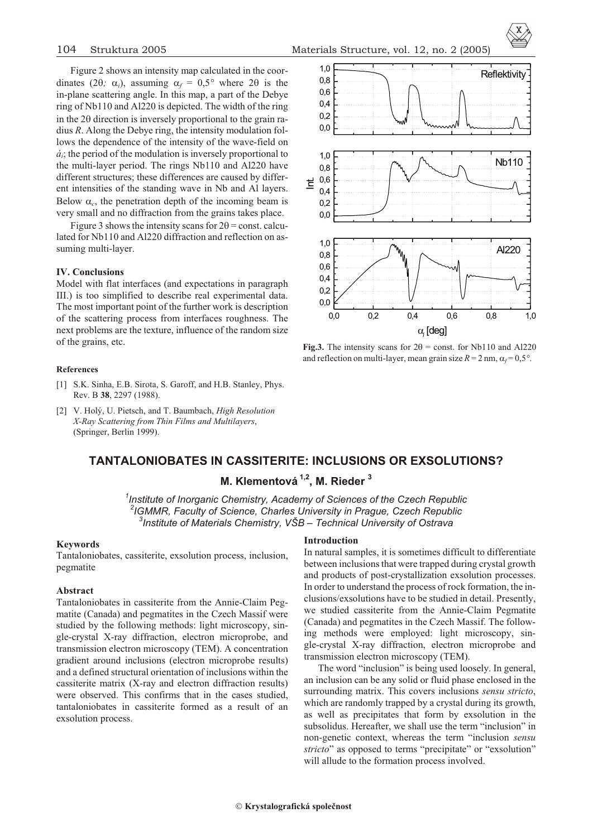Figure 2 shows an intensity map calculated in the coordinates  $(2 ; i)$ , assuming  $f = 0.5^\circ$  where 2 is the in-plane scattering angle. In this map, a part of the Debye ring of Nb110 and Al220 is depicted. The width of the ring in the 2 direction is inversely proportional to the grain radius  $R$ . Along the Debye ring, the intensity modulation follows the dependence of the intensity of the wave-field on  $\dot{a}_i$ ; the period of the modulation is inversely proportional to the multi-layer period. The rings Nb110 and Al220 have different structures; these differences are caused by different intensities of the standing wave in Nb and Al layers. Below  $\epsilon$ , the penetration depth of the incoming beam is very small and no diffraction from the grains takes place.

Figure 3 shows the intensity scans for  $2 =$  const. calculated for Nb110 and Al220 diffraction and reflection on assuming multi-layer.

### **IV. Conclusions**

Model with flat interfaces (and expectations in paragraph III.) is too simplified to describe real experimental data. The most important point of the further work is description of the scattering process from interfaces roughness. The next problems are the texture, influence of the random size of the grains, etc.

### **References**

- [1] S.K. Sinha, E.B. Sirota, S. Garoff, and H.B. Stanley, Phys. Rev. B **38**, 2297 (1988).
- [2] V. Holý, U. Pietsch, and T. Baumbach, *High Resolution X-Ray Scat ter ing from Thin Films and Multilayers*, (Springer, Berlin 1999).





**Fig.3.** The intensity scans for  $2 =$  const. for Nb110 and Al220 and reflection on multi-layer, mean grain size  $R = 2$  nm,  $f = 0.5^\circ$ .

# **TANTALONIOBATES IN CASSITERITE: INCLUSIONS OR EXSOLUTIONS?**

**M. Klementová 1,2, M. Rieder <sup>3</sup>**

*1 Institute of Inorganic Chemistry, Academy of Sciences of the Czech Republic* <sup>2</sup> IGMMR, Faculty of Science, Charles University in Prague, Czech Republic <sup>3</sup> Institute of Materials Chemistry, VŠB – Technical University of Ostrava

### **Keywords**

Tantaloniobates, cassiterite, exsolution process, inclusion, pegmatite

## **Ab stract**

Tantaloniobates in cassiterite from the Annie-Claim Pegmatite (Canada) and pegmatites in the Czech Massif were studied by the following methods: light microscopy, single-crystal X-ray diffraction, electron microprobe, and transmission electron microscopy (TEM). A concentration gradient around inclusions (electron microprobe results) and a defined structural orientation of inclusions within the cassiterite matrix (X-ray and electron diffraction results) were observed. This confirms that in the cases studied, tantaloniobates in cassiterite formed as a result of an exsolution process.

## **Introduction**

In natural samples, it is sometimes difficult to differentiate between inclusions that were trapped during crystal growth and products of post-crystallization exsolution processes. In order to understand the process of rock formation, the inclusions/exsolutions have to be studied in detail. Presently, we studied cassiterite from the Annie-Claim Pegmatite (Canada) and pegmatites in the Czech Massif. The following methods were employed: light microscopy, single-crystal X-ray diffraction, electron microprobe and transmission electron microscopy (TEM).

The word "inclusion" is being used loosely. In general, an inclusion can be any solid or fluid phase enclosed in the surrounding matrix. This covers inclusions *sensu stricto*, which are randomly trapped by a crystal during its growth, as well as precipitates that form by exsolution in the subsolidus. Hereafter, we shall use the term "inclusion" in non-genetic context, whereas the term "inclusion *sensu stricto*" as opposed to terms "precipitate" or "exsolution" will allude to the formation process involved.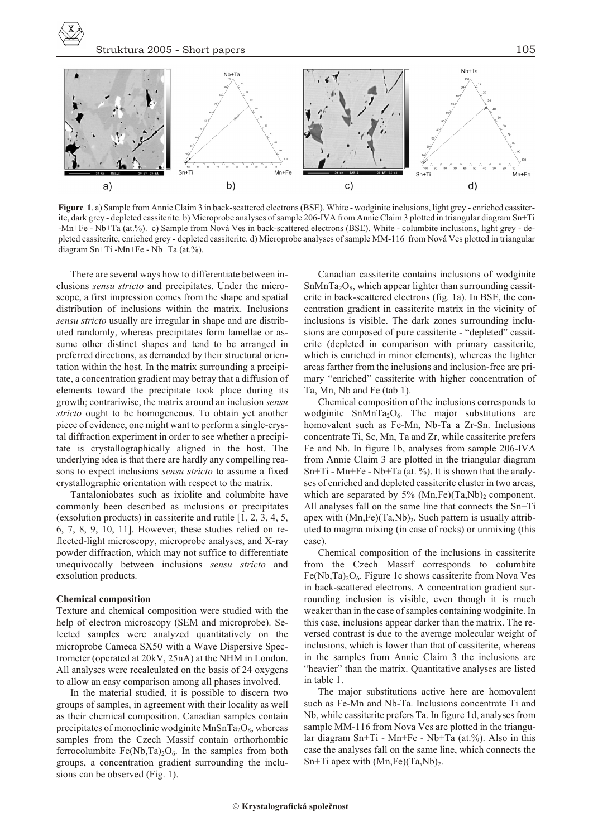

**Figure 1.** a) Sample from Annie Claim 3 in back-scattered electrons (BSE). White - wodginite inclusions, light grey - enriched cassiterite, dark grey - depleted cassiterite. b) Microprobe analyses of sample 206-IVA from Annie Claim 3 plotted in triangular diagram Sn+Ti -Mn+Fe - Nb+Ta (at.%). c) Sample from Nová Ves in back-scattered electrons (BSE). White - columbite inclusions, light grey - depleted cassiterite, enriched grey - depleted cassiterite. d) Microprobe analyses of sample MM-116 from Nová Ves plotted in triangular diagram Sn+Ti -Mn+Fe - Nb+Ta (at.%).

There are several ways how to differentiate between inclusions *sensu stricto* and precipitates. Under the microscope, a first impression comes from the shape and spatial distribution of inclusions within the matrix. Inclusions sensu stricto usually are irregular in shape and are distributed randomly, whereas precipitates form lamellae or assume other distinct shapes and tend to be arranged in preferred directions, as demanded by their structural orientation within the host. In the matrix surrounding a precipitate, a concentration gradient may betray that a diffusion of elements toward the precipitate took place during its growth; contrariwise, the matrix around an inclusion *sensu* stricto ought to be homogeneous. To obtain yet another piece of evidence, one might want to perform a single-crystal diffraction experiment in order to see whether a precipitate is crystallographically aligned in the host. The underlying idea is that there are hardly any compelling reasons to expect inclusions *sensu stricto* to assume a fixed crystallographic orientation with respect to the matrix.

Tantaloniobates such as ixiolite and columbite have commonly been described as inclusions or precipitates (exsolution products) in cassiterite and rutile  $[1, 2, 3, 4, 5,$  $6, 7, 8, 9, 10, 11$ ]. However, these studies relied on reflected-light microscopy, microprobe analyses, and X-ray powder diffraction, which may not suffice to differentiate unequivocally between inclusions *sensu stricto* and exsolution products.

### **Chemical composition**

Texture and chemical composition were studied with the help of electron microscopy (SEM and microprobe). Selected samples were analyzed quantitatively on the microprobe Cameca SX50 with a Wave Dispersive Spectrometer (operated at 20kV, 25nA) at the NHM in London. All analyses were recalculated on the basis of 24 oxygens to allow an easy comparison among all phases involved.

In the material studied, it is possible to discern two groups of samples, in agreement with their locality as well as their chemical composition. Canadian samples contain precipitates of monoclinic wodginite  $MnSnTa_2O_8$ , whereas samples from the Czech Massif contain orthorhombic ferrocolumbite  $Fe(Nb,Ta)_{2}O_{6}$ . In the samples from both groups, a concentration gradient surrounding the inclusions can be observed (Fig. 1).

Canadian cassiterite contains inclusions of wodginite  $SnMnTa<sub>2</sub>O<sub>8</sub>$ , which appear lighter than surrounding cassiterite in back-scattered electrons (fig. 1a). In BSE, the concentration gradient in cassiterite matrix in the vicinity of inclusions is visible. The dark zones surrounding inclusions are composed of pure cassiterite - "depleted" cassiterite (depleted in comparison with primary cassiterite, which is enriched in minor elements), whereas the lighter areas farther from the inclusions and inclusion-free are primary "enriched" cassiterite with higher concentration of Ta, Mn, Nb and Fe (tab 1).

Chemical composition of the inclusions corresponds to wodginite  $SnMnTa_2O_6$ . The major substitutions are homovalent such as Fe-Mn, Nb-Ta a Zr-Sn. Inclusions concentrate Ti, Sc, Mn, Ta and Zr, while cassiterite prefers Fe and Nb. In figure 1b, analyses from sample 206-IVA from Annie Claim 3 are plotted in the triangular diagram Sn+Ti - Mn+Fe - Nb+Ta (at. %). It is shown that the analyses of enriched and depleted cassiterite cluster in two areas, which are separated by  $5\%$  (Mn,Fe)(Ta,Nb)<sub>2</sub> component. All analyses fall on the same line that connects the  $Sn+Ti$ apex with  $(Mn,Fe)(Ta,Nb)_2$ . Such pattern is usually attributed to magma mixing (in case of rocks) or unmixing (this case).

Chemical composition of the inclusions in cassiterite from the Czech Massif corresponds to columbite Fe(Nb,Ta)<sub>2</sub>O<sub>6</sub>. Figure 1c shows cassiterite from Nova Ves in back-scattered electrons. A concentration gradient surrounding inclusion is visible, even though it is much weaker than in the case of samples containing wodginite. In this case, inclusions appear darker than the matrix. The reversed contrast is due to the average molecular weight of inclusions, which is lower than that of cassiterite, whereas in the samples from Annie Claim 3 the inclusions are "heavier" than the matrix. Quantitative analyses are listed in table 1.

The major substitutions active here are homovalent such as Fe-Mn and Nb-Ta. Inclusions concentrate Ti and Nb, while cassiterite prefers Ta. In figure 1d, analyses from sample MM-116 from Nova Ves are plotted in the triangular di agram Sn+Ti - Mn+Fe - Nb+Ta (at.%). Also in this case the analyses fall on the same line, which connects the Sn+Ti apex with  $(Mn,Fe)(Ta,Nb)_2$ .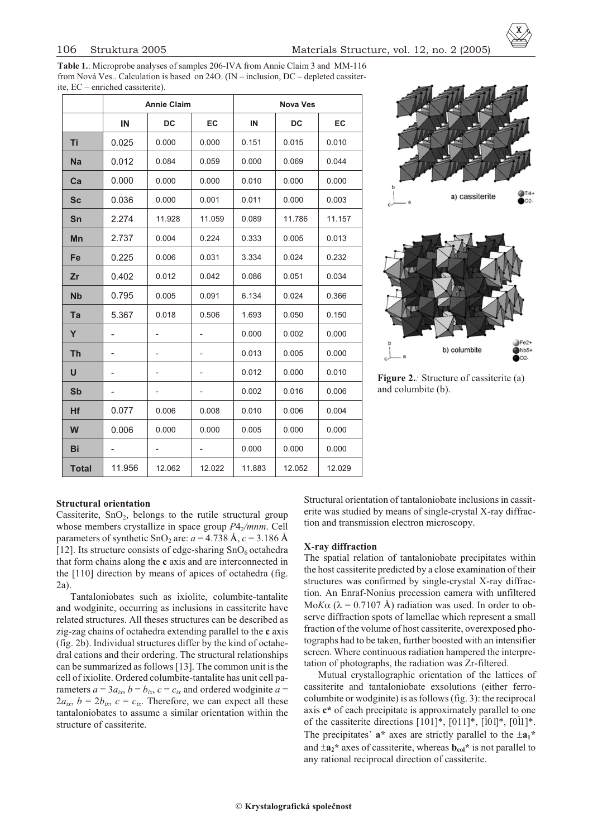Table 1.: Microprobe analyses of samples 206-IVA from Annie Claim 3 and MM-116 from Nová Ves.. Calculation is based on 24O. (IN – inclusion,  $DC$  – depleted cassiterite,  $EC$  – enriched cassiterite).

|              | <b>Annie Claim</b> |                              |                              | <b>Nova Ves</b> |           |        |
|--------------|--------------------|------------------------------|------------------------------|-----------------|-----------|--------|
|              | IN                 | <b>DC</b>                    | EC                           | IN              | <b>DC</b> | EC     |
| Τi           | 0.025              | 0.000                        | 0.000                        | 0.151           | 0.015     | 0.010  |
| <b>Na</b>    | 0.012              | 0.084                        | 0.059                        | 0.000           | 0.069     | 0.044  |
| Ca           | 0.000              | 0.000                        | 0.000                        | 0.010           | 0.000     | 0.000  |
| <b>Sc</b>    | 0.036              | 0.000                        | 0.001                        | 0.011           | 0.000     | 0.003  |
| Sn           | 2.274              | 11.928                       | 11.059                       | 0.089           | 11.786    | 11.157 |
| Mn           | 2.737              | 0.004                        | 0.224                        | 0.333           | 0.005     | 0.013  |
| Fe           | 0.225              | 0.006                        | 0.031                        | 3.334           | 0.024     | 0.232  |
| Zr           | 0.402              | 0.012                        | 0.042                        | 0.086           | 0.051     | 0.034  |
| <b>Nb</b>    | 0.795              | 0.005                        | 0.091                        | 6.134           | 0.024     | 0.366  |
| Ta           | 5.367              | 0.018                        | 0.506                        | 1.693           | 0.050     | 0.150  |
| Y            | -                  |                              |                              | 0.000           | 0.002     | 0.000  |
| Th           | -                  |                              | -                            | 0.013           | 0.005     | 0.000  |
| $\mathbf{U}$ | -                  | $\qquad \qquad \blacksquare$ | $\qquad \qquad \blacksquare$ | 0.012           | 0.000     | 0.010  |
| <b>Sb</b>    | -                  | -                            | $\overline{\phantom{0}}$     | 0.002           | 0.016     | 0.006  |
| Hf           | 0.077              | 0.006                        | 0.008                        | 0.010           | 0.006     | 0.004  |
| W            | 0.006              | 0.000                        | 0.000                        | 0.005           | 0.000     | 0.000  |
| Bi           |                    |                              | -                            | 0.000           | 0.000     | 0.000  |
| <b>Total</b> | 11.956             | 12.062                       | 12.022                       | 11.883          | 12.052    | 12.029 |





**Figure 2.***:* Structure of cassiterite (a) and columbite (b).

# **Structural orientation**

Cassiterite,  $SnO<sub>2</sub>$ , belongs to the rutile structural group whose members crystallize in space group *P*4<sub>2</sub>/mnm. Cell parameters of synthetic SnO<sub>2</sub> are:  $a = 4.738 \text{ Å}, c = 3.186 \text{ Å}$ [12]. Its structure consists of edge-sharing  $SnO<sub>6</sub>$  octahedra that form chains along the **c** axis and are interconnected in the [110] direction by means of apices of octahedra (fig. 2a).

Tantaloniobates such as ixiolite, columbite-tantalite and wodginite, occurring as inclusions in cassiterite have related structures. All theses structures can be described as zig-zag chains of octahedra ex tend ing paral lel to the **c** axis  $(fig. 2b)$ . Individual structures differ by the kind of octahedral cations and their ordering. The structural relationships can be summarized as follows [13]. The common unit is the cell of ixiolite. Ordered columbite-tantalite has unit cell parameters  $a = 3a_{ix}$ ,  $b = b_{ix}$ ,  $c = c_{ix}$  and ordered wodginite  $a =$  $2a_{ix}$ ,  $b = 2b_{ix}$ ,  $c = c_{ix}$ . Therefore, we can expect all these tantaloniobates to assume a similar orientation within the structure of cassiterite.

Structural orientation of tantaloniobate inclusions in cassiterite was studied by means of single-crystal X-ray diffraction and transmission electron microscopy.

### **X-ray diffraction**

The spatial relation of tantaloniobate precipitates within the host cassiterite predicted by a close examination of their structures was confirmed by single-crystal X-ray diffraction. An Enraf-Nonius precession camera with unfiltered Mo*K*  $( = 0.7107 \text{ Å})$  radiation was used. In order to observe diffraction spots of lamellae which represent a small fraction of the volume of host cassiterite, overexposed photo graphs had to be taken, further boosted with an intensifier screen. Where continuous radiation hampered the interpretation of photographs, the radiation was Zr-filtered.

Mutual crystallographic orientation of the lattices of cassiterite and tantaloniobate exsolutions (either ferrocolumbite or wodginite) is as follows (fig. 3): the reciprocal axis  $c^*$  of each precipitate is approximately parallel to one of the cassiterite directions  $[101]^*, [011]^*, [101]^*, [011]^*.$ The precipitates'  $a^*$  axes are strictly parallel to the  $a_1^*$ and  $\mathbf{a}_2^*$  axes of cassiterite, whereas  $\mathbf{b}_{\text{col}}^*$  is not parallel to any rational reciprocal direction of cassiterite.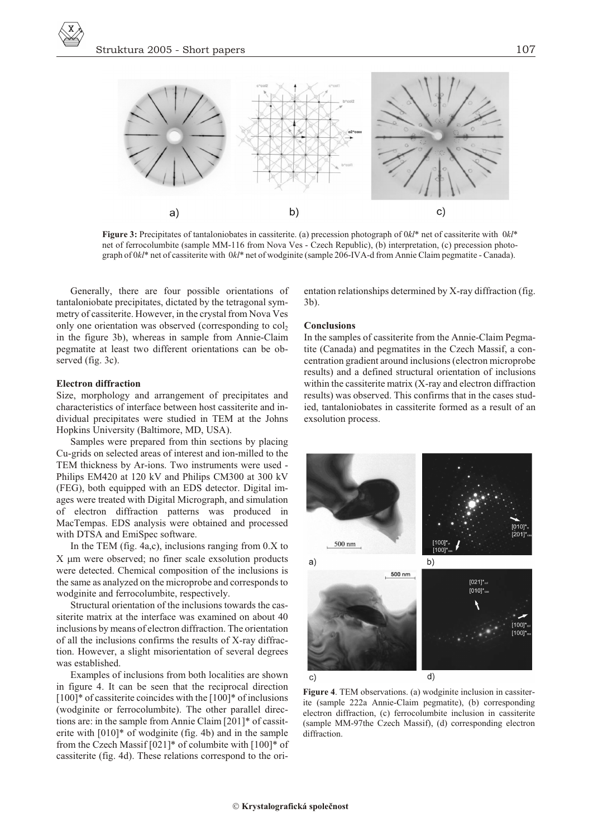

**Figure 3:** Precipitates of tantaloniobates in cassiterite. (a) precession photograph of 0*kl*<sup>\*</sup> net of cassiterite with 0*kl*<sup>\*</sup> net of ferrocolumbite (sample MM-116 from Nova Ves - Czech Republic), (b) interpretation, (c) precession photograph of 0*kl*\* net of cassiterite with 0*kl*\* net of wodginite (sample 206-IVA-d from Annie Claim pegmatite - Canada).

Generally, there are four possible orientations of tantaloniobate precipitates, dictated by the tetragonal symmetry of cassiterite. However, in the crystal from Nova Ves only one orientation was observed (corresponding to  $col_2$ ) in the figure 3b), whereas in sample from Annie-Claim pegmatite at least two different orientations can be observed (fig. 3c).

#### **Electron diffraction**

Size, morphology and arrangement of precipitates and characteristics of interface between host cassiterite and individual precipitates were studied in TEM at the Johns Hopkins University (Baltimore, MD, USA).

Samples were prepared from thin sections by placing Cu-grids on selected areas of interest and ion-milled to the TEM thickness by Ar-ions. Two instruments were used -Philips EM420 at 120 kV and Philips CM300 at 300 kV  $(FEG)$ , both equipped with an EDS detector. Digital images were treated with Digital Micrograph, and simulation of electron diffraction patterns was produced in MacTempas. EDS analysis were obtained and processed with DTSA and EmiSpec software.

In the TEM (fig.  $4a,c$ ), inclusions ranging from  $0.X$  to X m were observed; no finer scale exsolution products were detected. Chemical composition of the inclusions is the same as analyzed on the microprobe and corresponds to wodginite and ferrocolumbite, respectively.

Structural orientation of the inclusions towards the cassiterite matrix at the interface was examined on about 40 in clusions by means of electron diffraction. The orientation of all the inclusions confirms the results of  $X$ -ray diffraction. However, a slight misorientation of several degrees was established.

Examples of inclusions from both localities are shown in figure 4. It can be seen that the reciprocal direction  $[100]*$  of cassiterite coincides with the  $[100]*$  of inclusions (wodginite or ferrocolumbite). The other parallel directions are: in the sample from Annie Claim  $[201]*$  of cassiterite with  $[010]^*$  of wodginite (fig. 4b) and in the sample from the Czech Massif [021]\* of columbite with [100]\* of cassiterite (fig. 4d). These relations correspond to the orientation relationships determined by X-ray diffraction (fig. 3b).

### **Con clu sions**

In the samples of cassiterite from the Annie-Claim Pegmatite (Canada) and pegmatites in the Czech Massif, a concentration gradient around inclusions (electron microprobe results) and a defined structural orientation of inclusions within the cassiterite matrix  $(X-ray and electron diffraction)$ results) was observed. This confirms that in the cases studied, tantaloniobates in cassiterite formed as a result of an exsolution process.



**Figure 4.** TEM observations. (a) wodginite inclusion in cassiterite (sample 222a Annie-Claim pegmatite), (b) corresponding electron diffraction, (c) ferrocolumbite inclusion in cassiterite (sample MM-97the Czech Massif), (d) corresponding electron diffraction.